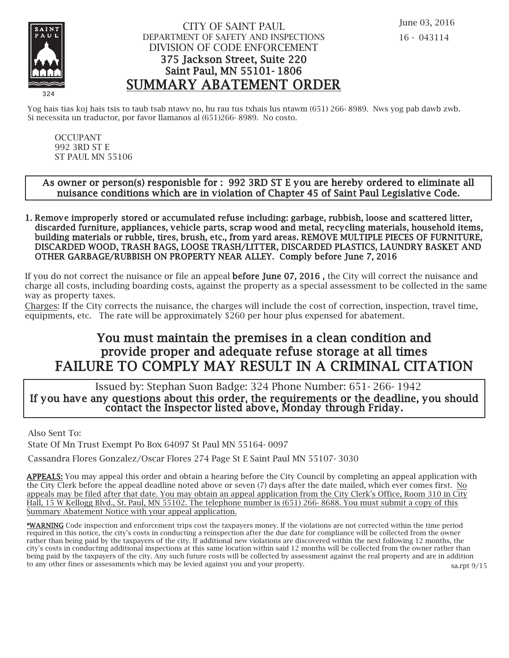

### CITY OF SAINT PAUL DEPARTMENT OF SAFETY AND INSPECTIONS DIVISION OF CODE ENFORCEMENT 375 Jackson Street, Suite 220 Saint Paul, MN 55101- 1806 SUMMARY ABATEMENT ORDER

Yog hais tias koj hais tsis to taub tsab ntawy no, hu rau tus txhais lus ntawm (651) 266-8989. Nws yog pab dawb zwb. Si necessita un traductor, por favor llamanos al (651)266- 8989. No costo.

OCCUPANT 992 3RD ST E ST PAUL MN 55106

#### As owner or person(s) responisble for : 992 3RD ST E you are hereby ordered to eliminate all nuisance conditions which are in violation of Chapter 45 of Saint Paul Legislative Code.

1. Remove improperly stored or accumulated refuse including: garbage, rubbish, loose and scattered litter, discarded furniture, appliances, vehicle parts, scrap wood and metal, recycling materials, household items, building materials or rubble, tires, brush, etc., from yard areas. REMOVE MULTIPLE PIECES OF FURNITURE, DISCARDED WOOD, TRASH BAGS, LOOSE TRASH/LITTER, DISCARDED PLASTICS, LAUNDRY BASKET AND OTHER GARBAGE/RUBBISH ON PROPERTY NEAR ALLEY. Comply before June 7, 2016

If you do not correct the nuisance or file an appeal before June 07, 2016 , the City will correct the nuisance and charge all costs, including boarding costs, against the property as a special assessment to be collected in the same way as property taxes.

Charges: If the City corrects the nuisance, the charges will include the cost of correction, inspection, travel time, equipments, etc. The rate will be approximately \$260 per hour plus expensed for abatement.

# You must maintain the premises in a clean condition and prov ide proper and adequate refuse storage at all times FAILURE TO COMPLY MAY RESULT IN A CRIMINAL CITATION

 Issued by: Stephan Suon Badge: 324 Phone Number: 651- 266- 1942 If you have any questions about this order, the requirements or the deadline, you should contact the Inspector listed above, Monday through Friday.

Also Sent To:

State Of Mn Trust Exempt Po Box 64097 St Paul MN 55164- 0097

Cassandra Flores Gonzalez/Oscar Flores 274 Page St E Saint Paul MN 55107- 3030

APPEALS: You may appeal this order and obtain a hearing before the City Council by completing an appeal application with the City Clerk before the appeal deadline noted above or seven (7) days after the date mailed, which ever comes first. No appeals may be filed after that date. You may obtain an appeal application from the City Clerk's Office, Room 310 in City Hall, 15 W Kellogg Blvd., St. Paul, MN 55102. The telephone number is (651) 266- 8688. You must submit a copy of this Summary Abatement Notice with your appeal application.

\*WARNING Code inspection and enforcement trips cost the taxpayers money. If the violations are not corrected within the time period required in this notice, the city's costs in conducting a reinspection after the due date for compliance will be collected from the owner rather than being paid by the taxpayers of the city. If additional new violations are discovered within the next following 12 months, the city's costs in conducting additional inspections at this same location within said 12 months will be collected from the owner rather than being paid by the taxpayers of the city. Any such future costs will be collected by assessment against the real property and are in addition to any other fines or assessments which may be levied against you and your property.

sa.rpt 9/15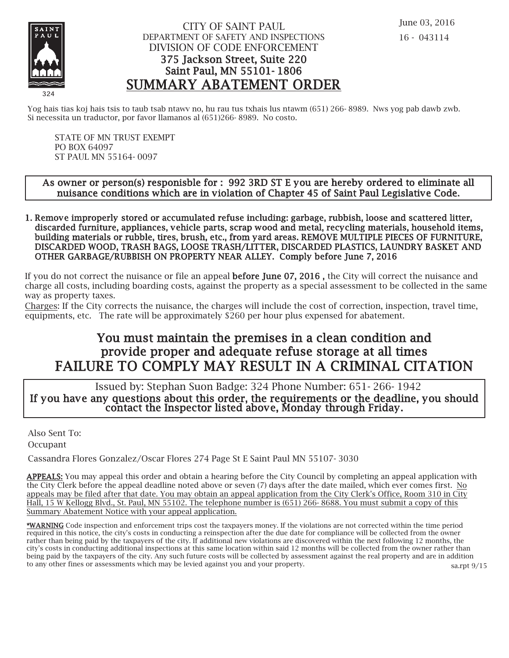

## CITY OF SAINT PAUL DEPARTMENT OF SAFETY AND INSPECTIONS DIVISION OF CODE ENFORCEMENT 375 Jackson Street, Suite 220 Saint Paul, MN 55101- 1806 SUMMARY ABATEMENT ORDER

Yog hais tias koj hais tsis to taub tsab ntawy no, hu rau tus txhais lus ntawm (651) 266-8989. Nws yog pab dawb zwb. Si necessita un traductor, por favor llamanos al (651)266- 8989. No costo.

STATE OF MN TRUST EXEMPT PO BOX 64097 ST PAUL MN 55164- 0097

### As owner or person(s) responisble for : 992 3RD ST E you are hereby ordered to eliminate all nuisance conditions which are in violation of Chapter 45 of Saint Paul Legislative Code.

1. Remove improperly stored or accumulated refuse including: garbage, rubbish, loose and scattered litter, discarded furniture, appliances, vehicle parts, scrap wood and metal, recycling materials, household items, building materials or rubble, tires, brush, etc., from yard areas. REMOVE MULTIPLE PIECES OF FURNITURE, DISCARDED WOOD, TRASH BAGS, LOOSE TRASH/LITTER, DISCARDED PLASTICS, LAUNDRY BASKET AND OTHER GARBAGE/RUBBISH ON PROPERTY NEAR ALLEY. Comply before June 7, 2016

If you do not correct the nuisance or file an appeal before June 07, 2016 , the City will correct the nuisance and charge all costs, including boarding costs, against the property as a special assessment to be collected in the same way as property taxes.

Charges: If the City corrects the nuisance, the charges will include the cost of correction, inspection, travel time, equipments, etc. The rate will be approximately \$260 per hour plus expensed for abatement.

# You must maintain the premises in a clean condition and prov ide proper and adequate refuse storage at all times FAILURE TO COMPLY MAY RESULT IN A CRIMINAL CITATION

 Issued by: Stephan Suon Badge: 324 Phone Number: 651- 266- 1942 If you have any questions about this order, the requirements or the deadline, you should contact the Inspector listed above, Monday through Friday.

Also Sent To:

Occupant

Cassandra Flores Gonzalez/Oscar Flores 274 Page St E Saint Paul MN 55107- 3030

APPEALS: You may appeal this order and obtain a hearing before the City Council by completing an appeal application with the City Clerk before the appeal deadline noted above or seven (7) days after the date mailed, which ever comes first. No appeals may be filed after that date. You may obtain an appeal application from the City Clerk's Office, Room 310 in City Hall, 15 W Kellogg Blvd., St. Paul, MN 55102. The telephone number is (651) 266- 8688. You must submit a copy of this Summary Abatement Notice with your appeal application.

\*WARNING Code inspection and enforcement trips cost the taxpayers money. If the violations are not corrected within the time period required in this notice, the city's costs in conducting a reinspection after the due date for compliance will be collected from the owner rather than being paid by the taxpayers of the city. If additional new violations are discovered within the next following 12 months, the city's costs in conducting additional inspections at this same location within said 12 months will be collected from the owner rather than being paid by the taxpayers of the city. Any such future costs will be collected by assessment against the real property and are in addition to any other fines or assessments which may be levied against you and your property.

sa.rpt 9/15